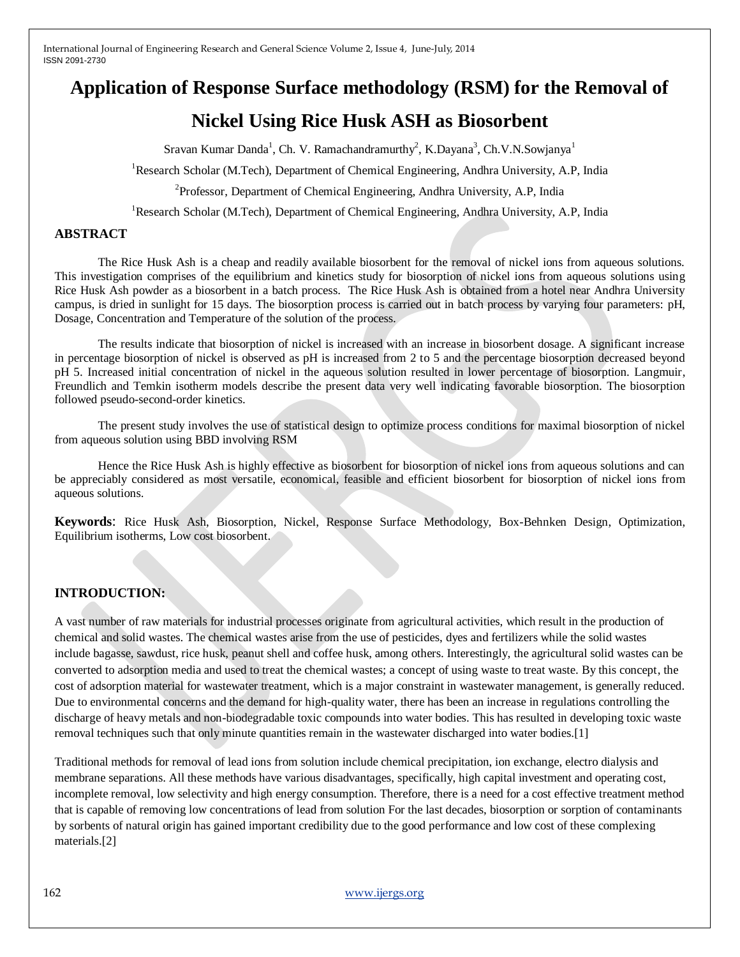# **Application of Response Surface methodology (RSM) for the Removal of**

# **Nickel Using Rice Husk ASH as Biosorbent**

Sravan Kumar Danda<sup>1</sup>, Ch. V. Ramachandramurthy<sup>2</sup>, K.Dayana<sup>3</sup>, Ch.V.N.Sowjanya<sup>1</sup>

<sup>1</sup>Research Scholar (M.Tech), Department of Chemical Engineering, Andhra University, A.P. India

<sup>2</sup>Professor, Department of Chemical Engineering, Andhra University, A.P, India

<sup>1</sup>Research Scholar (M.Tech), Department of Chemical Engineering, Andhra University, A.P, India

#### **ABSTRACT**

The Rice Husk Ash is a cheap and readily available biosorbent for the removal of nickel ions from aqueous solutions. This investigation comprises of the equilibrium and kinetics study for biosorption of nickel ions from aqueous solutions using Rice Husk Ash powder as a biosorbent in a batch process. The Rice Husk Ash is obtained from a hotel near Andhra University campus, is dried in sunlight for 15 days. The biosorption process is carried out in batch process by varying four parameters: pH, Dosage, Concentration and Temperature of the solution of the process.

The results indicate that biosorption of nickel is increased with an increase in biosorbent dosage. A significant increase in percentage biosorption of nickel is observed as pH is increased from 2 to 5 and the percentage biosorption decreased beyond pH 5. Increased initial concentration of nickel in the aqueous solution resulted in lower percentage of biosorption. Langmuir, Freundlich and Temkin isotherm models describe the present data very well indicating favorable biosorption. The biosorption followed pseudo-second-order kinetics.

The present study involves the use of statistical design to optimize process conditions for maximal biosorption of nickel from aqueous solution using BBD involving RSM

Hence the Rice Husk Ash is highly effective as biosorbent for biosorption of nickel ions from aqueous solutions and can be appreciably considered as most versatile, economical, feasible and efficient biosorbent for biosorption of nickel ions from aqueous solutions.

**Keywords**: Rice Husk Ash, Biosorption, Nickel, Response Surface Methodology, Box-Behnken Design, Optimization, Equilibrium isotherms, Low cost biosorbent.

#### **INTRODUCTION:**

A vast number of raw materials for industrial processes originate from agricultural activities, which result in the production of chemical and solid wastes. The chemical wastes arise from the use of pesticides, dyes and fertilizers while the solid wastes include bagasse, sawdust, rice husk, peanut shell and coffee husk, among others. Interestingly, the agricultural solid wastes can be converted to adsorption media and used to treat the chemical wastes; a concept of using waste to treat waste. By this concept, the cost of adsorption material for wastewater treatment, which is a major constraint in wastewater management, is generally reduced. Due to environmental concerns and the demand for high-quality water, there has been an increase in regulations controlling the discharge of heavy metals and non-biodegradable toxic compounds into water bodies. This has resulted in developing toxic waste removal techniques such that only minute quantities remain in the wastewater discharged into water bodies.[1]

Traditional methods for removal of lead ions from solution include chemical precipitation, ion exchange, electro dialysis and membrane separations. All these methods have various disadvantages, specifically, high capital investment and operating cost, incomplete removal, low selectivity and high energy consumption. Therefore, there is a need for a cost effective treatment method that is capable of removing low concentrations of lead from solution For the last decades, biosorption or sorption of contaminants by sorbents of natural origin has gained important credibility due to the good performance and low cost of these complexing materials.[2]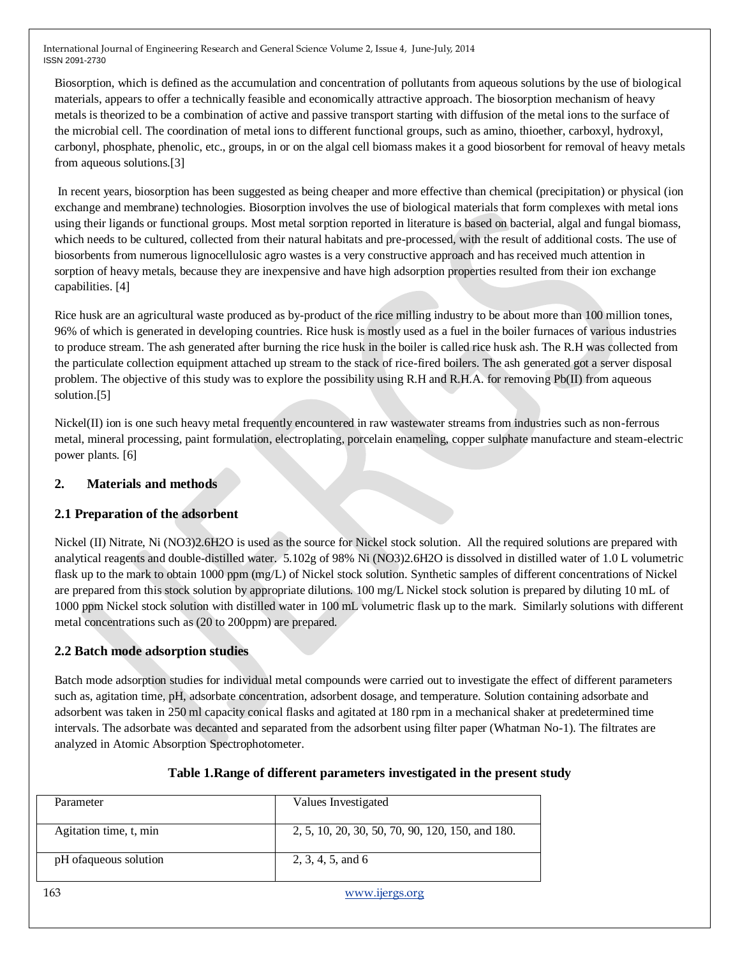Biosorption, which is defined as the accumulation and concentration of pollutants from aqueous solutions by the use of biological materials, appears to offer a technically feasible and economically attractive approach. The biosorption mechanism of heavy metals is theorized to be a combination of active and passive transport starting with diffusion of the metal ions to the surface of the microbial cell. The coordination of metal ions to different functional groups, such as amino, thioether, carboxyl, hydroxyl, carbonyl, phosphate, phenolic, etc., groups, in or on the algal cell biomass makes it a good biosorbent for removal of heavy metals from aqueous solutions.[3]

In recent years, biosorption has been suggested as being cheaper and more effective than chemical (precipitation) or physical (ion exchange and membrane) technologies. Biosorption involves the use of biological materials that form complexes with metal ions using their ligands or functional groups. Most metal sorption reported in literature is based on bacterial, algal and fungal biomass, which needs to be cultured, collected from their natural habitats and pre-processed, with the result of additional costs. The use of biosorbents from numerous lignocellulosic agro wastes is a very constructive approach and has received much attention in sorption of heavy metals, because they are inexpensive and have high adsorption properties resulted from their ion exchange capabilities. [4]

Rice husk are an agricultural waste produced as by-product of the rice milling industry to be about more than 100 million tones, 96% of which is generated in developing countries. Rice husk is mostly used as a fuel in the boiler furnaces of various industries to produce stream. The ash generated after burning the rice husk in the boiler is called rice husk ash. The R.H was collected from the particulate collection equipment attached up stream to the stack of rice-fired boilers. The ash generated got a server disposal problem. The objective of this study was to explore the possibility using R.H and R.H.A. for removing Pb(II) from aqueous solution.[5]

Nickel(II) ion is one such heavy metal frequently encountered in raw wastewater streams from industries such as non-ferrous metal, mineral processing, paint formulation, electroplating, porcelain enameling, copper sulphate manufacture and steam-electric power plants. [6]

### **2. Materials and methods**

# **2.1 Preparation of the adsorbent**

Nickel (II) Nitrate, Ni (NO3)2.6H2O is used as the source for Nickel stock solution. All the required solutions are prepared with analytical reagents and double-distilled water. 5.102g of 98% Ni (NO3)2.6H2O is dissolved in distilled water of 1.0 L volumetric flask up to the mark to obtain 1000 ppm (mg/L) of Nickel stock solution. Synthetic samples of different concentrations of Nickel are prepared from this stock solution by appropriate dilutions. 100 mg/L Nickel stock solution is prepared by diluting 10 mL of 1000 ppm Nickel stock solution with distilled water in 100 mL volumetric flask up to the mark. Similarly solutions with different metal concentrations such as (20 to 200ppm) are prepared.

# **2.2 Batch mode adsorption studies**

Batch mode adsorption studies for individual metal compounds were carried out to investigate the effect of different parameters such as, agitation time, pH, adsorbate concentration, adsorbent dosage, and temperature. Solution containing adsorbate and adsorbent was taken in 250 ml capacity conical flasks and agitated at 180 rpm in a mechanical shaker at predetermined time intervals. The adsorbate was decanted and separated from the adsorbent using filter paper (Whatman No-1). The filtrates are analyzed in Atomic Absorption Spectrophotometer.

| Parameter              | Values Investigated                              |
|------------------------|--------------------------------------------------|
| Agitation time, t, min | 2, 5, 10, 20, 30, 50, 70, 90, 120, 150, and 180. |
| pH of aqueous solution | 2, 3, 4, 5, and 6                                |

### **Table 1.Range of different parameters investigated in the present study**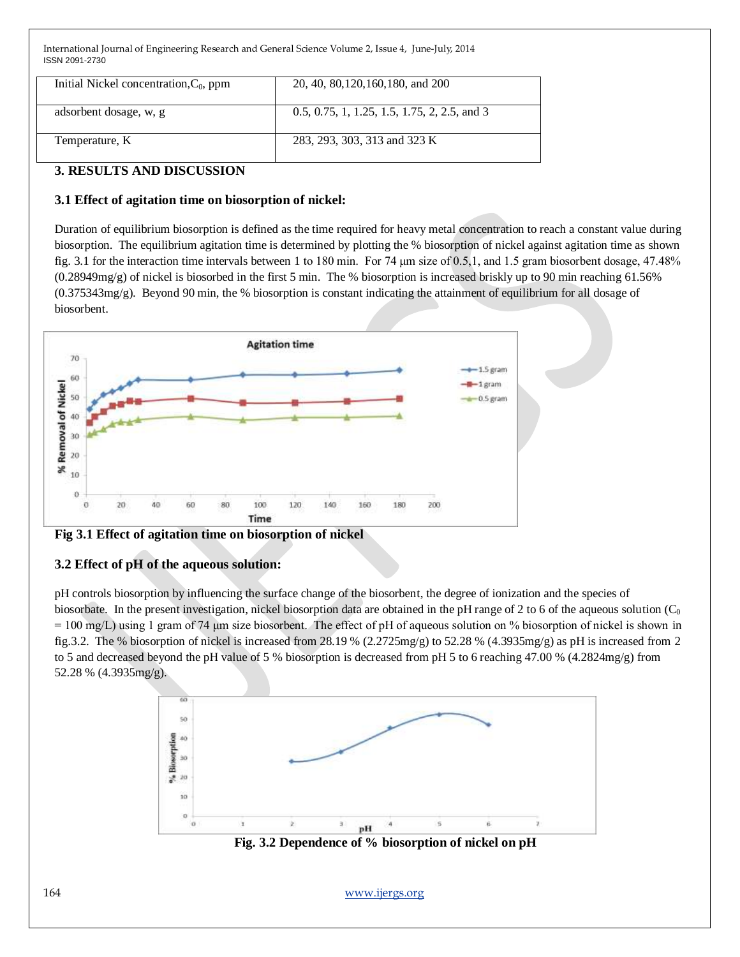| Initial Nickel concentration, $C_0$ , ppm | 20, 40, 80, 120, 160, 180, and 200           |
|-------------------------------------------|----------------------------------------------|
| adsorbent dosage, w, g                    | 0.5, 0.75, 1, 1.25, 1.5, 1.75, 2, 2.5, and 3 |
| Temperature, K                            | 283, 293, 303, 313 and 323 K                 |

## **3. RESULTS AND DISCUSSION**

#### **3.1 Effect of agitation time on biosorption of nickel:**

Duration of equilibrium biosorption is defined as the time required for heavy metal concentration to reach a constant value during biosorption. The equilibrium agitation time is determined by plotting the % biosorption of nickel against agitation time as shown fig. 3.1 for the interaction time intervals between 1 to 180 min. For 74 μm size of 0.5,1, and 1.5 gram biosorbent dosage, 47.48% (0.28949mg/g) of nickel is biosorbed in the first 5 min. The % biosorption is increased briskly up to 90 min reaching 61.56% (0.375343mg/g). Beyond 90 min, the % biosorption is constant indicating the attainment of equilibrium for all dosage of biosorbent.



#### **Fig 3.1 Effect of agitation time on biosorption of nickel**

### **3.2 Effect of pH of the aqueous solution:**

pH controls biosorption by influencing the surface change of the biosorbent, the degree of ionization and the species of biosorbate. In the present investigation, nickel biosorption data are obtained in the pH range of 2 to 6 of the aqueous solution  $(C_0$  $= 100$  mg/L) using 1 gram of 74  $\mu$ m size biosorbent. The effect of pH of aqueous solution on % biosorption of nickel is shown in fig.3.2. The % biosorption of nickel is increased from 28.19 %  $(2.2725mg/g)$  to 52.28 %  $(4.3935mg/g)$  as pH is increased from 2 to 5 and decreased beyond the pH value of 5 % biosorption is decreased from pH 5 to 6 reaching 47.00 % (4.2824mg/g) from 52.28 % (4.3935mg/g).



 **Fig. 3.2 Dependence of % biosorption of nickel on pH**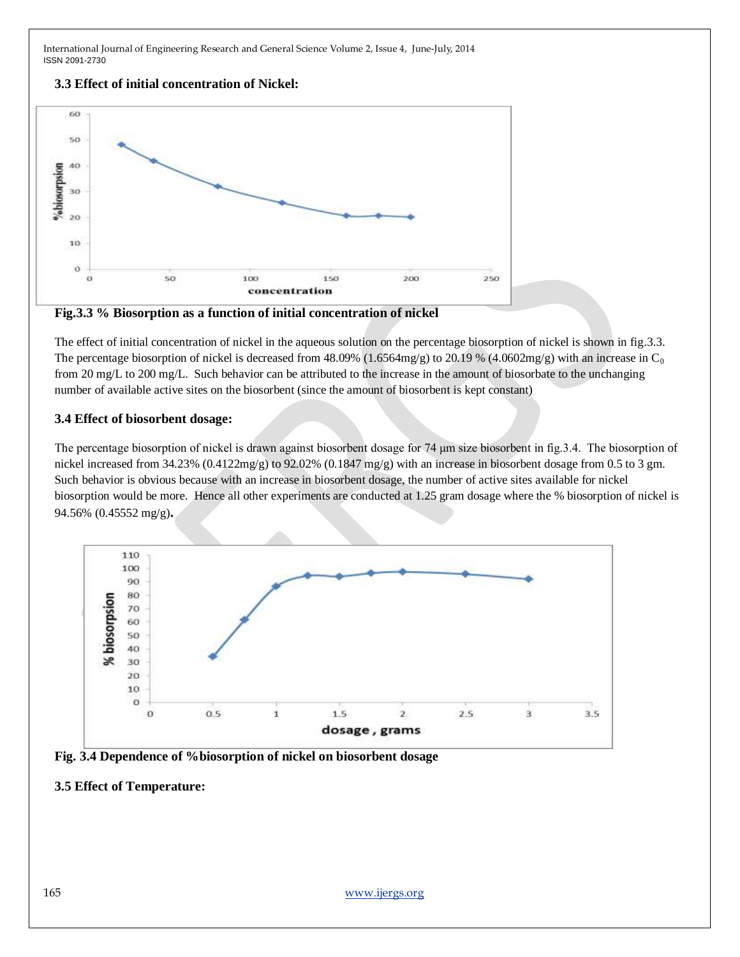#### **3.3 Effect of initial concentration of Nickel:**





The effect of initial concentration of nickel in the aqueous solution on the percentage biosorption of nickel is shown in fig.3.3. The percentage biosorption of nickel is decreased from 48.09% (1.6564mg/g) to 20.19 % (4.0602mg/g) with an increase in C<sub>0</sub> from 20 mg/L to 200 mg/L. Such behavior can be attributed to the increase in the amount of biosorbate to the unchanging number of available active sites on the biosorbent (since the amount of biosorbent is kept constant)

#### **3.4 Effect of biosorbent dosage:**

The percentage biosorption of nickel is drawn against biosorbent dosage for 74 μm size biosorbent in fig.3.4. The biosorption of nickel increased from  $34.23\%$  (0.4122mg/g) to 92.02% (0.1847 mg/g) with an increase in biosorbent dosage from 0.5 to 3 gm. Such behavior is obvious because with an increase in biosorbent dosage, the number of active sites available for nickel biosorption would be more. Hence all other experiments are conducted at 1.25 gram dosage where the % biosorption of nickel is 94.56% (0.45552 mg/g)**.**



**Fig. 3.4 Dependence of %biosorption of nickel on biosorbent dosage**

#### **3.5 Effect of Temperature:**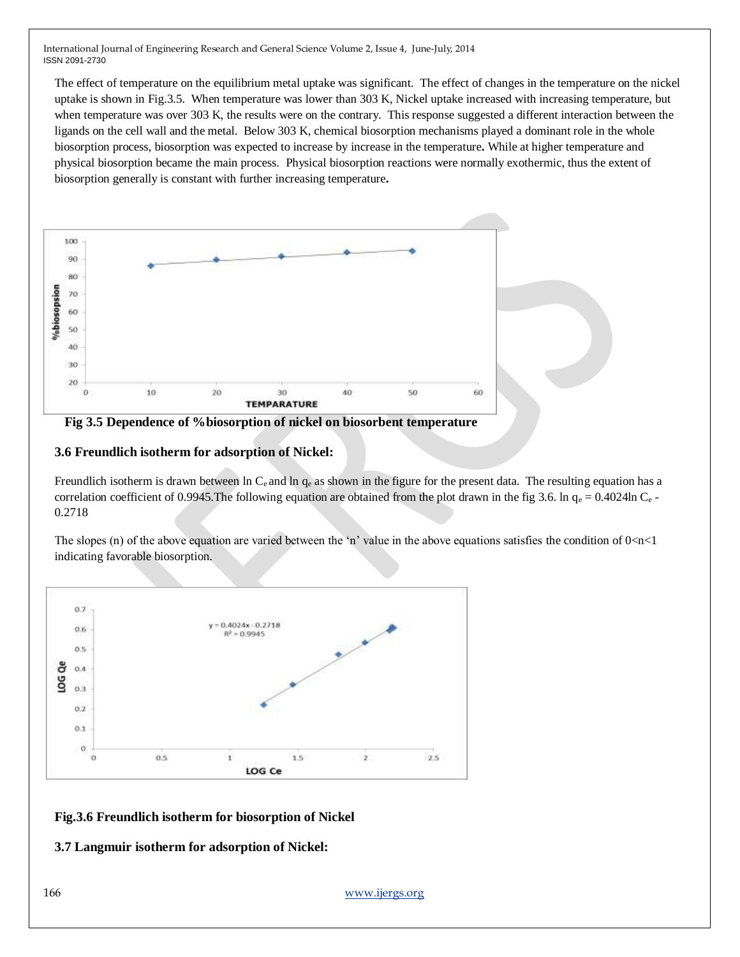The effect of temperature on the equilibrium metal uptake was significant. The effect of changes in the temperature on the nickel uptake is shown in Fig.3.5. When temperature was lower than 303 K, Nickel uptake increased with increasing temperature, but when temperature was over 303 K, the results were on the contrary. This response suggested a different interaction between the ligands on the cell wall and the metal. Below 303 K, chemical biosorption mechanisms played a dominant role in the whole biosorption process, biosorption was expected to increase by increase in the temperature**.** While at higher temperature and physical biosorption became the main process. Physical biosorption reactions were normally exothermic, thus the extent of biosorption generally is constant with further increasing temperature**.**



 **Fig 3.5 Dependence of %biosorption of nickel on biosorbent temperature**

#### **3.6 Freundlich isotherm for adsorption of Nickel:**

Freundlich isotherm is drawn between ln  $C_e$  and ln  $q_e$  as shown in the figure for the present data. The resulting equation has a correlation coefficient of 0.9945. The following equation are obtained from the plot drawn in the fig 3.6. ln  $q_e = 0.4024$ ln C<sub>e</sub> -0.2718

The slopes (n) of the above equation are varied between the 'n' value in the above equations satisfies the condition of  $0 < n < 1$ indicating favorable biosorption.



**Fig.3.6 Freundlich isotherm for biosorption of Nickel**

**3.7 Langmuir isotherm for adsorption of Nickel:**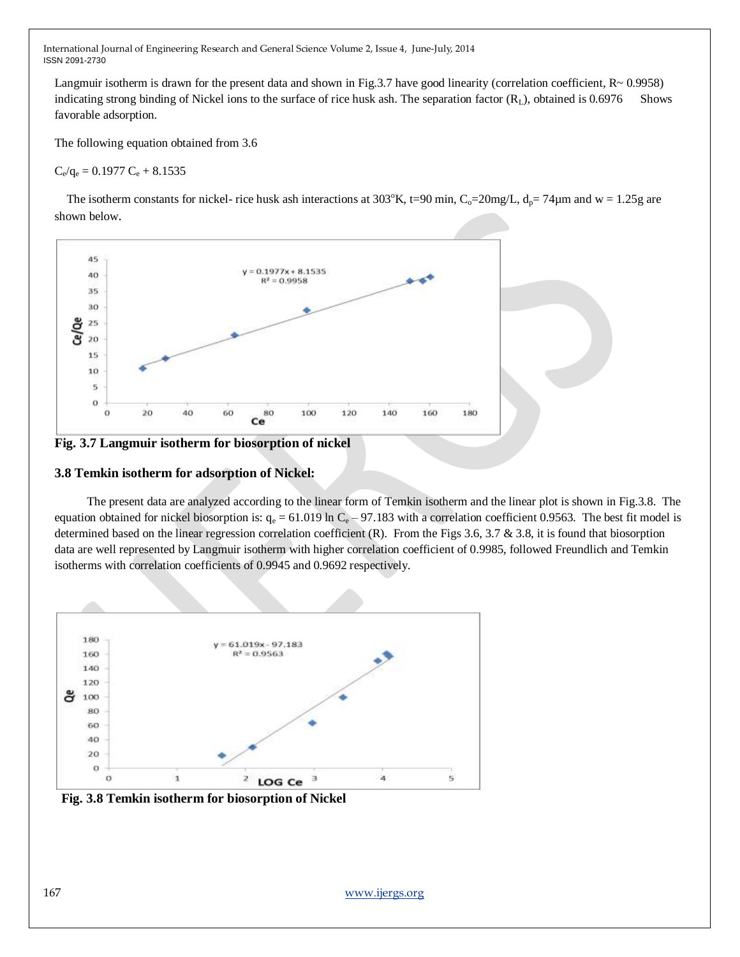Langmuir isotherm is drawn for the present data and shown in Fig.3.7 have good linearity (correlation coefficient,  $R \sim 0.9958$ ) indicating strong binding of Nickel ions to the surface of rice husk ash. The separation factor  $(R_L)$ , obtained is 0.6976 Shows favorable adsorption.

The following equation obtained from 3.6

 $C_e/q_e = 0.1977 C_e + 8.1535$ 

The isotherm constants for nickel- rice husk ash interactions at  $303^{\circ}$ K, t=90 min, C<sub>o</sub>=20mg/L, d<sub>p</sub>= 74 $\mu$ m and w = 1.25g are shown below.





#### **3.8 Temkin isotherm for adsorption of Nickel:**

The present data are analyzed according to the linear form of Temkin isotherm and the linear plot is shown in Fig.3.8. The equation obtained for nickel biosorption is:  $q_e = 61.019 \ln C_e - 97.183$  with a correlation coefficient 0.9563. The best fit model is determined based on the linear regression correlation coefficient  $(R)$ . From the Figs 3.6, 3.7 & 3.8, it is found that biosorption data are well represented by Langmuir isotherm with higher correlation coefficient of 0.9985, followed Freundlich and Temkin isotherms with correlation coefficients of 0.9945 and 0.9692 respectively.



 **Fig. 3.8 Temkin isotherm for biosorption of Nickel**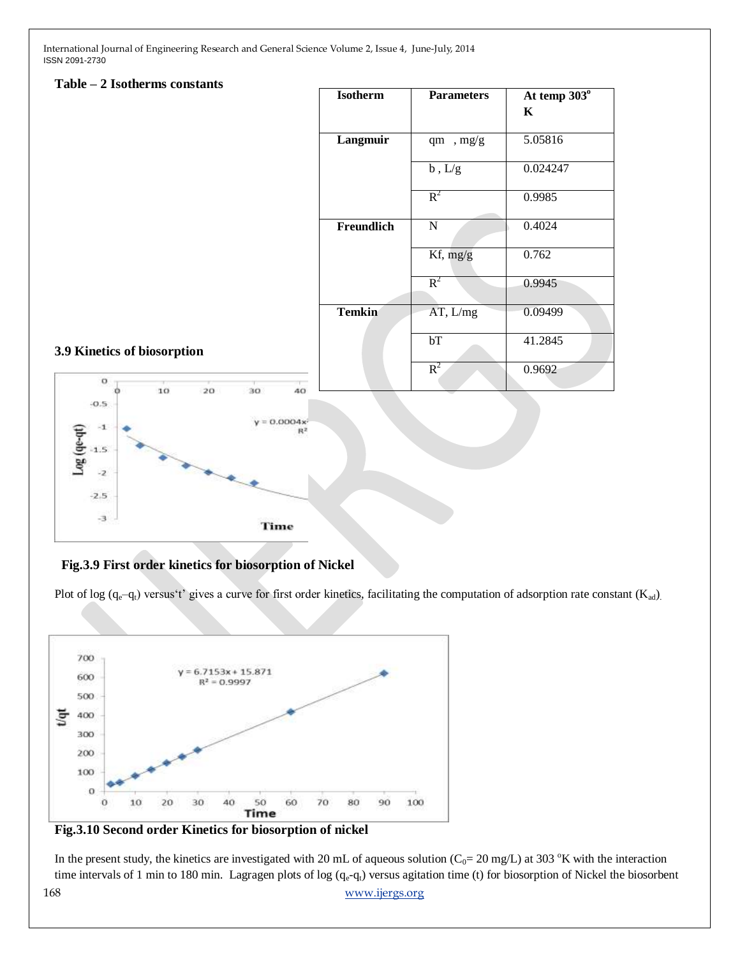#### **Table – 2 Isotherms constants**

| <b>Isotherm</b> | <b>Parameters</b> | At temp 303°<br>K |
|-----------------|-------------------|-------------------|
| Langmuir        | qm, mg/g          | 5.05816           |
|                 | $b$ , $L/g$       | 0.024247          |
|                 | $R^2$             | 0.9985            |
| Freundlich      | $\mathbf N$       | 0.4024            |
|                 | Kf, mg/g          | 0.762             |
|                 | $R^2$             | 0.9945            |
| <b>Temkin</b>   | AT, L/mg          | 0.09499           |
|                 | bT                | 41.2845           |
|                 | $R^2$             | 0.9692            |

#### **3.9 Kinetics of biosorption**



#### **Fig.3.9 First order kinetics for biosorption of Nickel**

Plot of log  $(q_e-q_t)$  versus't' gives a curve for first order kinetics, facilitating the computation of adsorption rate constant  $(K_{ad})$ .



**Fig.3.10 Second order Kinetics for biosorption of nickel**

168 [www.ijergs.org](http://www.ijergs.org/) In the present study, the kinetics are investigated with 20 mL of aqueous solution ( $C_0$ = 20 mg/L) at 303 °K with the interaction time intervals of 1 min to 180 min. Lagragen plots of log  $(q_e-q_t)$  versus agitation time (t) for biosorption of Nickel the biosorbent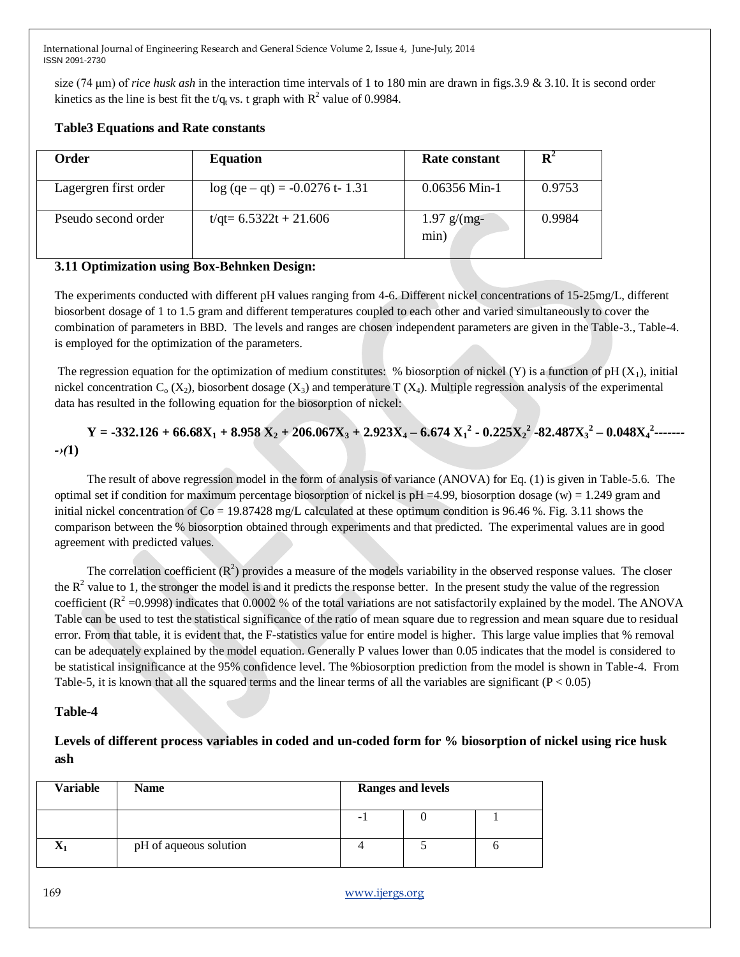size (74 μm) of *rice husk ash* in the interaction time intervals of 1 to 180 min are drawn in figs.3.9 & 3.10. It is second order kinetics as the line is best fit the t/q<sub>t</sub> vs. t graph with  $R^2$  value of 0.9984.

| Order                 | <b>Equation</b>                    | Rate constant         | $\mathbf{R}^2$ |
|-----------------------|------------------------------------|-----------------------|----------------|
| Lagergren first order | $log (qe - qt) = -0.0276 t - 1.31$ | $0.06356$ Min-1       | 0.9753         |
| Pseudo second order   | $t$ /qt= 6.5322t + 21.606          | $1.97$ g/(mg-<br>min) | 0.9984         |

#### **Table3 Equations and Rate constants**

#### **3.11 Optimization using Box-Behnken Design:**

The experiments conducted with different pH values ranging from 4-6. Different nickel concentrations of 15-25mg/L, different biosorbent dosage of 1 to 1.5 gram and different temperatures coupled to each other and varied simultaneously to cover the combination of parameters in BBD. The levels and ranges are chosen independent parameters are given in the Table-3., Table-4. is employed for the optimization of the parameters.

The regression equation for the optimization of medium constitutes: % biosorption of nickel (Y) is a function of pH  $(X_1)$ , initial nickel concentration  $C_0$  (X<sub>2</sub>), biosorbent dosage (X<sub>3</sub>) and temperature T (X<sub>4</sub>). Multiple regression analysis of the experimental data has resulted in the following equation for the biosorption of nickel:

$$
Y = -332.126 + 66.68X_1 + 8.958 X_2 + 206.067X_3 + 2.923X_4 - 6.674 X_1^2 - 0.225X_2^2 - 82.487X_3^2 - 0.048X_4^2 - \cdots
$$
  
- $\sqrt{1}$ 

The result of above regression model in the form of analysis of variance (ANOVA) for Eq. (1) is given in Table-5.6. The optimal set if condition for maximum percentage biosorption of nickel is  $pH = 4.99$ , biosorption dosage (w) = 1.249 gram and initial nickel concentration of  $Co = 19.87428$  mg/L calculated at these optimum condition is 96.46 %. Fig. 3.11 shows the comparison between the % biosorption obtained through experiments and that predicted. The experimental values are in good agreement with predicted values.

The correlation coefficient  $(R^2)$  provides a measure of the models variability in the observed response values. The closer the  $R<sup>2</sup>$  value to 1, the stronger the model is and it predicts the response better. In the present study the value of the regression coefficient ( $R^2$  =0.9998) indicates that 0.0002 % of the total variations are not satisfactorily explained by the model. The ANOVA Table can be used to test the statistical significance of the ratio of mean square due to regression and mean square due to residual error. From that table, it is evident that, the F-statistics value for entire model is higher. This large value implies that % removal can be adequately explained by the model equation. Generally P values lower than 0.05 indicates that the model is considered to be statistical insignificance at the 95% confidence level. The %biosorption prediction from the model is shown in Table-4. From Table-5, it is known that all the squared terms and the linear terms of all the variables are significant  $(P < 0.05)$ 

#### **Table-4**

## **Levels of different process variables in coded and un-coded form for % biosorption of nickel using rice husk ash**

| <b>Variable</b> | <b>Name</b>            |   | <b>Ranges and levels</b> |  |
|-----------------|------------------------|---|--------------------------|--|
|                 |                        | - |                          |  |
|                 | pH of aqueous solution |   |                          |  |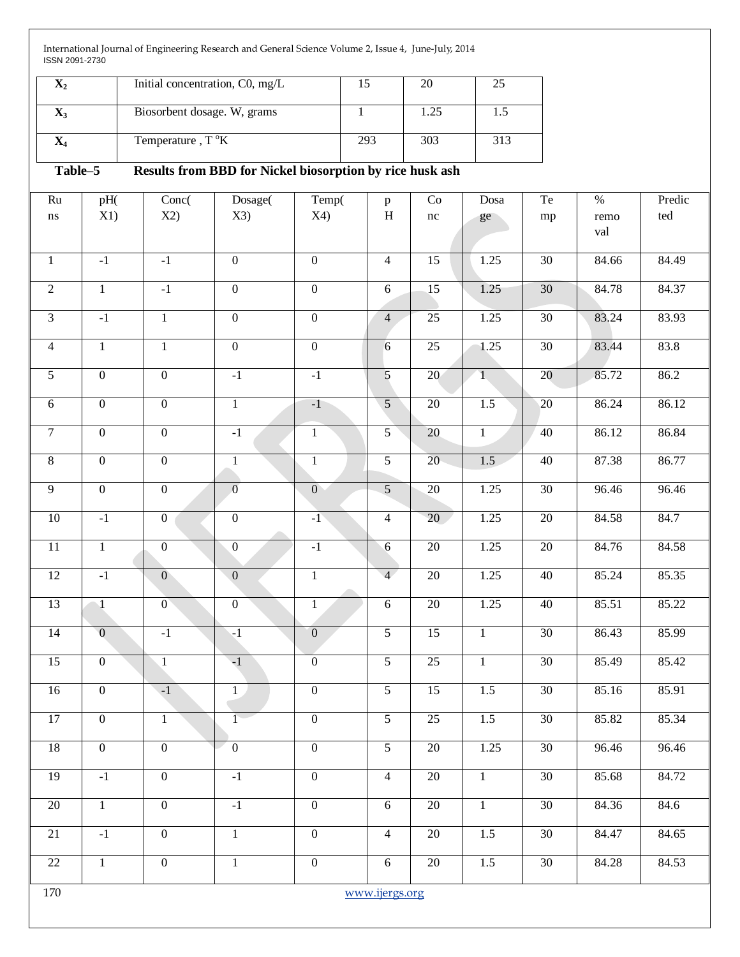| Initial concentration, C0, mg/L |     | 20   |  |
|---------------------------------|-----|------|--|
| Biosorbent dosage. W, grams     |     | 1.25 |  |
| Temperature, $T^{\circ}K$       | 293 | 303  |  |

# **Table–5 Results from BBD for Nickel biosorption by rice husk ash**

| Ru              | pH(            | Conc(            | Dosage(          | $\overline{\text{Temp}}$ | $\, {\bf p}$   | Co                  | Dosa           | Te              | $\%$  | Predic |
|-----------------|----------------|------------------|------------------|--------------------------|----------------|---------------------|----------------|-----------------|-------|--------|
| $\bf ns$        | X1)            | X2)              | X3)              | X4)                      | $\, {\rm H}$   | $\operatorname{nc}$ | ge             | mp              | remo  | ted    |
|                 |                |                  |                  |                          |                |                     |                |                 | val   |        |
|                 |                | $-1$             | $\boldsymbol{0}$ | $\boldsymbol{0}$         |                |                     |                | 30              | 84.66 | 84.49  |
| $\mathbf{1}$    | $-1$           |                  |                  |                          | $\overline{4}$ | 15                  | 1.25           |                 |       |        |
| $\sqrt{2}$      | $\mathbf{1}$   | $-1$             | $\boldsymbol{0}$ | $\overline{0}$           | $\sqrt{6}$     | 15                  | 1.25           | $\overline{30}$ | 84.78 | 84.37  |
| $\overline{3}$  | $-1$           | $\overline{1}$   | $\overline{0}$   | $\overline{0}$           | $\overline{4}$ | $\overline{25}$     | 1.25           | 30              | 83.24 | 83.93  |
| $\overline{4}$  | $\mathbf{1}$   | $\overline{1}$   | $\overline{0}$   | $\overline{0}$           | 6              | $25\,$              | 1.25           | $\overline{30}$ | 83.44 | 83.8   |
| $\overline{5}$  | $\overline{0}$ | $\overline{0}$   | $-1$             | $-1$                     | 5              | 20                  | $\sqrt{1}$     | 20              | 85.72 | 86.2   |
| $6\phantom{.}6$ | $\overline{0}$ | $\overline{0}$   | $\overline{1}$   | $-1$                     | $\overline{5}$ | $\overline{20}$     | 1.5            | $\overline{20}$ | 86.24 | 86.12  |
| $\overline{7}$  | $\overline{0}$ | $\overline{0}$   | $-1$             | $\overline{1}$           | $\overline{5}$ | $\overline{20}$     | $\overline{1}$ | 40              | 86.12 | 86.84  |
| $\overline{8}$  | $\overline{0}$ | $\overline{0}$   | $\overline{1}$   | $\overline{1}$           | $\overline{5}$ | 20                  | 1.5            | 40              | 87.38 | 86.77  |
| $\overline{9}$  | $\overline{0}$ | $\overline{0}$   | $\overline{0}$   | $\overline{0}$           | $\overline{5}$ | 20                  | 1.25           | 30              | 96.46 | 96.46  |
| $\overline{10}$ | $-1$           | $\overline{0}$   | $\overline{0}$   | $-1$                     | $\overline{4}$ | 20                  | 1.25           | $\overline{20}$ | 84.58 | 84.7   |
| $\overline{11}$ | $\overline{1}$ | $\overline{0}$   | $\overline{0}$   | $-1$                     | 6              | $\overline{20}$     | 1.25           | $\overline{20}$ | 84.76 | 84.58  |
| 12              | $-1$           | $\overline{0}$   | $\overline{0}$   | $\mathbf{1}$             | $\overline{4}$ | $20\,$              | 1.25           | 40              | 85.24 | 85.35  |
| 13              | $\sqrt{1}$     | $\overline{0}$   | $\overline{0}$   | $\mathbf{1}$             | $\sqrt{6}$     | $\overline{20}$     | 1.25           | 40              | 85.51 | 85.22  |
| $\overline{14}$ | $\overline{0}$ | $-1$             | $-1$             | $\overline{0}$           | $\overline{5}$ | $\overline{15}$     | $\mathbf{1}$   | $\overline{30}$ | 86.43 | 85.99  |
| $\overline{15}$ | $\overline{0}$ | $\mathbf{1}$     | $-1$             | $\overline{0}$           | $\overline{5}$ | $\overline{25}$     | $\mathbf{1}$   | $\overline{30}$ | 85.49 | 85.42  |
| $16\,$          | $\mathbf{0}$   | $-1$             | $\mathbf{1}$     | $\overline{0}$           | $\overline{5}$ | 15                  | $1.5$          | $30\,$          | 85.16 | 85.91  |
| 17              | $\overline{0}$ | $\overline{1}$   | $\overline{1}$   | $\overline{0}$           | $\overline{5}$ | $\overline{25}$     | 1.5            | $\overline{30}$ | 85.82 | 85.34  |
| $\overline{18}$ | $\overline{0}$ | $\overline{0}$   | $\mathbf{0}$     | $\mathbf{0}$             | $\overline{5}$ | $20\,$              | 1.25           | $\overline{30}$ | 96.46 | 96.46  |
| 19              | $-1$           | $\boldsymbol{0}$ | $-1$             | $\boldsymbol{0}$         | $\overline{4}$ | 20                  | $\mathbf{1}$   | 30              | 85.68 | 84.72  |
| 20              | $\mathbf{1}$   | $\overline{0}$   | $-1$             | $\overline{0}$           | $6\,$          | 20                  | $\overline{1}$ | 30              | 84.36 | 84.6   |
| 21              | $-1$           | $\overline{0}$   | $\mathbf{1}$     | $\overline{0}$           | $\overline{4}$ | $20\,$              | 1.5            | $\overline{30}$ | 84.47 | 84.65  |
| $\overline{22}$ | $\mathbf{1}$   | $\overline{0}$   | $\overline{1}$   | $\overline{0}$           | $\overline{6}$ | $\overline{20}$     | 1.5            | 30              | 84.28 | 84.53  |
| 170             | www.ijergs.org |                  |                  |                          |                |                     |                |                 |       |        |
|                 |                |                  |                  |                          |                |                     |                |                 |       |        |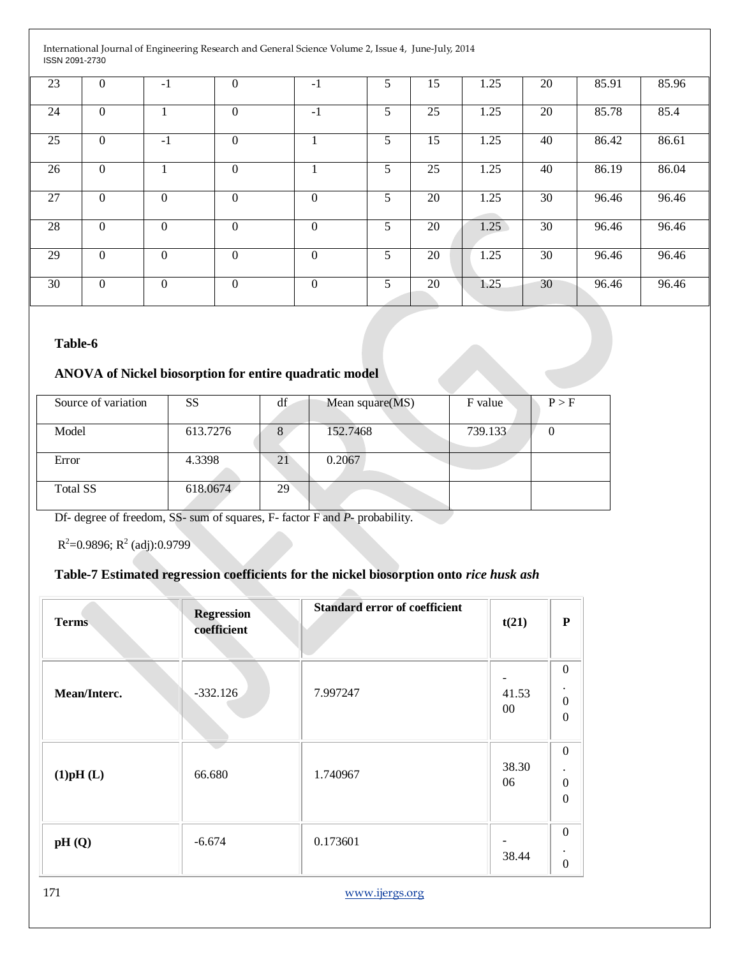| 23 | $\theta$         | $-1$           | $\overline{0}$   | $-1$             | 5 | 15 | 1.25 | 20 | 85.91 | 85.96 |
|----|------------------|----------------|------------------|------------------|---|----|------|----|-------|-------|
| 24 | $\boldsymbol{0}$ |                | $\boldsymbol{0}$ | $-1$             | 5 | 25 | 1.25 | 20 | 85.78 | 85.4  |
| 25 | $\boldsymbol{0}$ | $-1$           | $\boldsymbol{0}$ |                  | 5 | 15 | 1.25 | 40 | 86.42 | 86.61 |
| 26 | $\theta$         |                | $\boldsymbol{0}$ |                  | 5 | 25 | 1.25 | 40 | 86.19 | 86.04 |
| 27 | $\theta$         | $\overline{0}$ | $\boldsymbol{0}$ | $\boldsymbol{0}$ | 5 | 20 | 1.25 | 30 | 96.46 | 96.46 |
| 28 | $\theta$         | $\theta$       | $\boldsymbol{0}$ | $\theta$         | 5 | 20 | 1.25 | 30 | 96.46 | 96.46 |
| 29 | $\theta$         | $\overline{0}$ | $\boldsymbol{0}$ | $\boldsymbol{0}$ | 5 | 20 | 1.25 | 30 | 96.46 | 96.46 |
| 30 | $\overline{0}$   | $\overline{0}$ | $\overline{0}$   | $\boldsymbol{0}$ | 5 | 20 | 1.25 | 30 | 96.46 | 96.46 |

#### **Table-6**

# **ANOVA of Nickel biosorption for entire quadratic model**

| Source of variation | <b>SS</b> | df | Mean square(MS) | F value | P > F |
|---------------------|-----------|----|-----------------|---------|-------|
| Model               | 613.7276  | 8  | 152.7468        | 739.133 |       |
| Error               | 4.3398    | 21 | 0.2067          |         |       |
| <b>Total SS</b>     | 618.0674  | 29 |                 |         |       |

 $\sim$ 

Df- degree of freedom, SS- sum of squares, F- factor F and *P-* probability.

 $R^2$ =0.9896;  $R^2$  (adj):0.9799

# **Table-7 Estimated regression coefficients for the nickel biosorption onto** *rice husk ash*

| <b>Terms</b> | <b>Regression</b><br>coefficient | <b>Standard error of coefficient</b> | t(21)           | ${\bf P}$                                                             |
|--------------|----------------------------------|--------------------------------------|-----------------|-----------------------------------------------------------------------|
| Mean/Interc. | $-332.126$                       | 7.997247                             | 41.53<br>$00\,$ | $\boldsymbol{0}$<br>$\bullet$<br>$\boldsymbol{0}$<br>$\boldsymbol{0}$ |
| (1)pH(L)     | 66.680                           | 1.740967                             | 38.30<br>06     | $\boldsymbol{0}$<br>$\cdot$<br>$\boldsymbol{0}$<br>$\boldsymbol{0}$   |
| pH(Q)        | $-6.674$                         | 0.173601                             | 38.44           | $\boldsymbol{0}$<br>$\boldsymbol{0}$                                  |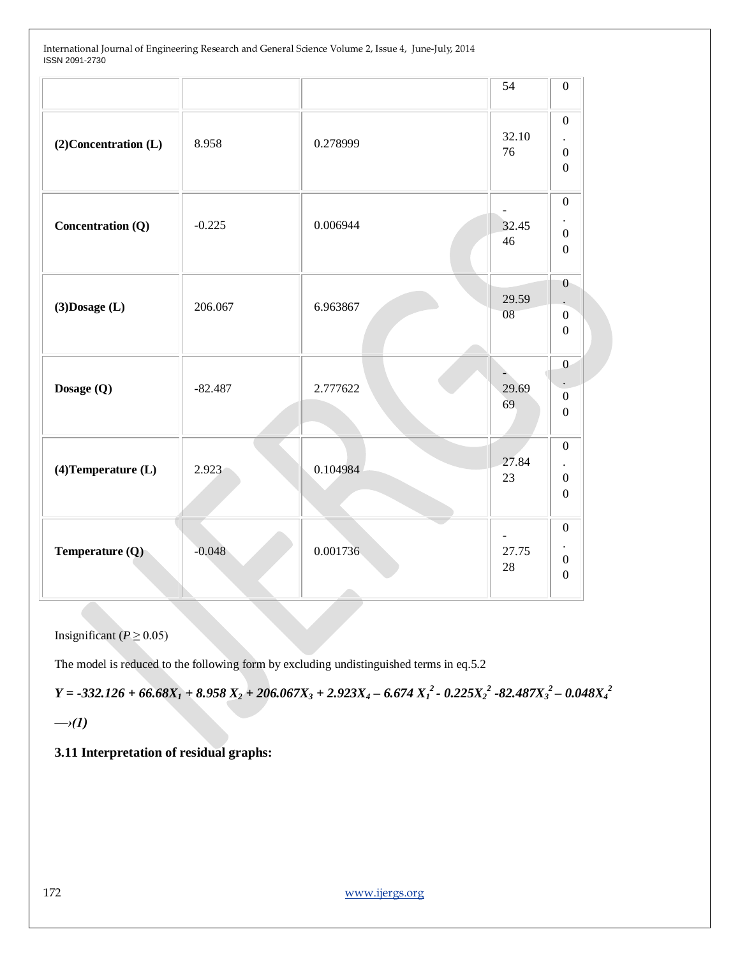|                         |           |          | 54          | $\boldsymbol{0}$                                                             |
|-------------------------|-----------|----------|-------------|------------------------------------------------------------------------------|
| (2) Concentration (L)   | 8.958     | 0.278999 | 32.10<br>76 | $\boldsymbol{0}$<br>$\bullet$<br>$\boldsymbol{0}$<br>$\boldsymbol{0}$        |
| Concentration (Q)       | $-0.225$  | 0.006944 | 32.45<br>46 | $\mathbf{0}$<br>$\ddot{\phantom{a}}$<br>$\boldsymbol{0}$<br>$\boldsymbol{0}$ |
| $(3)$ Dosage $(L)$      | 206.067   | 6.963867 | 29.59<br>08 | $\theta$<br>$\boldsymbol{0}$<br>$\boldsymbol{0}$                             |
| Dosage (Q)              | $-82.487$ | 2.777622 | 29.69<br>69 | $\mathbf{0}$<br>$\boldsymbol{0}$<br>$\boldsymbol{0}$                         |
| $(4)$ Temperature $(L)$ | 2.923     | 0.104984 | 27.84<br>23 | $\mathbf{0}$<br>$\bullet$<br>$\boldsymbol{0}$<br>$\mathbf{0}$                |
| Temperature (Q)         | $-0.048$  | 0.001736 | 27.75<br>28 | $\mathbf{0}$<br>$\bullet$<br>$\mathbf{0}$<br>$\boldsymbol{0}$                |

Insignificant ( $P \ge 0.05$ )

The model is reduced to the following form by excluding undistinguished terms in eq.5.2

 $Y = -332.126 + 66.68X<sub>1</sub> + 8.958X<sub>2</sub> + 206.067X<sub>3</sub> + 2.923X<sub>4</sub> - 6.674X<sub>1</sub><sup>2</sup> - 0.225X<sub>2</sub><sup>2</sup> - 82.487X<sub>3</sub><sup>2</sup> - 0.048X<sub>4</sub><sup>2</sup>$ 

*—›(1)*

**3.11 Interpretation of residual graphs:**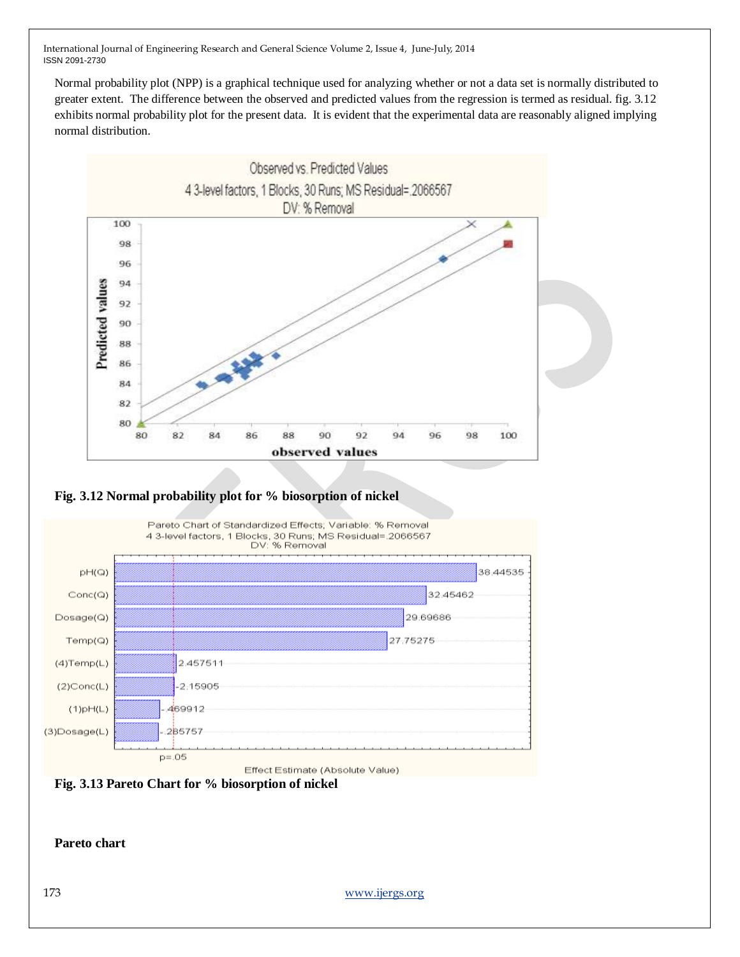Normal probability plot (NPP) is a graphical technique used for analyzing whether or not a data set is normally distributed to greater extent. The difference between the observed and predicted values from the regression is termed as residual. fig. 3.12 exhibits normal probability plot for the present data. It is evident that the experimental data are reasonably aligned implying normal distribution.



### **Fig. 3.12 Normal probability plot for % biosorption of nickel**



Effect Estimate (Absolute Value)



**Pareto chart**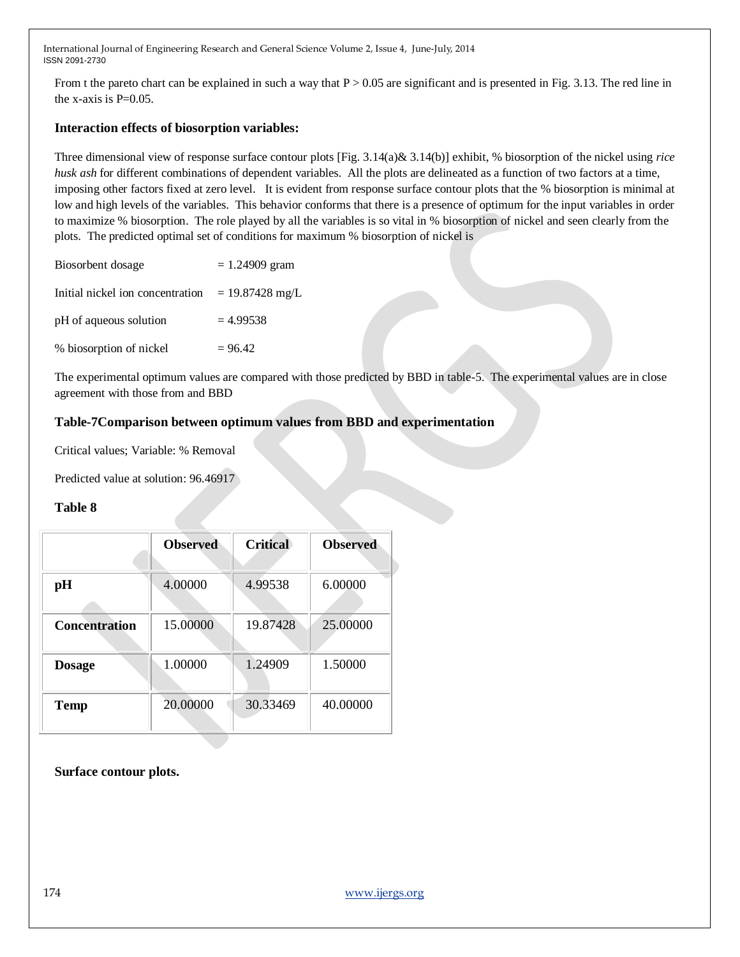From t the pareto chart can be explained in such a way that  $P > 0.05$  are significant and is presented in Fig. 3.13. The red line in the x-axis is  $P=0.05$ .

#### **Interaction effects of biosorption variables:**

Three dimensional view of response surface contour plots [Fig. 3.14(a)& 3.14(b)] exhibit, % biosorption of the nickel using *rice husk ash* for different combinations of dependent variables. All the plots are delineated as a function of two factors at a time, imposing other factors fixed at zero level. It is evident from response surface contour plots that the % biosorption is minimal at low and high levels of the variables. This behavior conforms that there is a presence of optimum for the input variables in order to maximize % biosorption. The role played by all the variables is so vital in % biosorption of nickel and seen clearly from the plots. The predicted optimal set of conditions for maximum % biosorption of nickel is

| Biosorbent dosage                | $= 1.24909$ gram  |
|----------------------------------|-------------------|
| Initial nickel ion concentration | $= 19.87428$ mg/L |
| pH of aqueous solution           | $= 4.99538$       |
| % biosorption of nickel          | $= 96.42$         |

The experimental optimum values are compared with those predicted by BBD in table-5. The experimental values are in close agreement with those from and BBD

#### **Table-7Comparison between optimum values from BBD and experimentation**

Critical values; Variable: % Removal

Predicted value at solution: 96.46917

#### **Table 8**

|                      | <b>Observed</b> | <b>Critical</b> | <b>Observed</b> |
|----------------------|-----------------|-----------------|-----------------|
| pH                   | 4.00000         | 4.99538         | 6.00000         |
| <b>Concentration</b> | 15.00000        | 19.87428        | 25.00000        |
| <b>Dosage</b>        | 1.00000         | 1.24909         | 1.50000         |
| <b>Temp</b>          | 20.00000        | 30.33469        | 40.00000        |

**Surface contour plots.**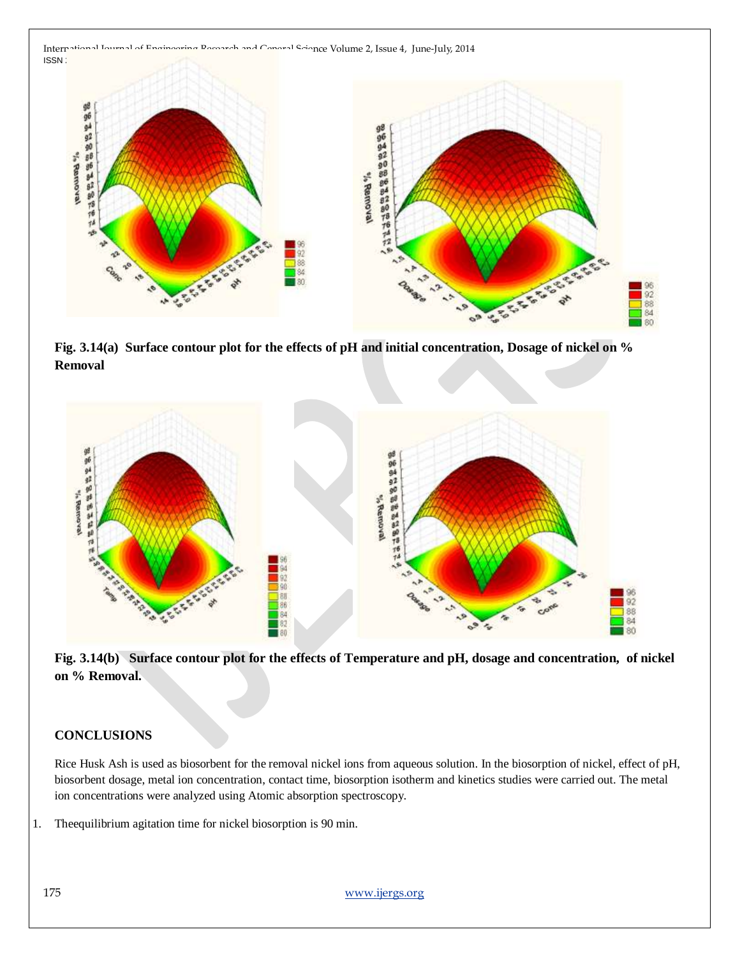

**Fig. 3.14(a) Surface contour plot for the effects of pH and initial concentration, Dosage of nickel on % Removal**



**Fig. 3.14(b) Surface contour plot for the effects of Temperature and pH, dosage and concentration, of nickel on % Removal.**

#### **CONCLUSIONS**

Rice Husk Ash is used as biosorbent for the removal nickel ions from aqueous solution. In the biosorption of nickel, effect of pH, biosorbent dosage, metal ion concentration, contact time, biosorption isotherm and kinetics studies were carried out. The metal ion concentrations were analyzed using Atomic absorption spectroscopy.

1. Theequilibrium agitation time for nickel biosorption is 90 min.